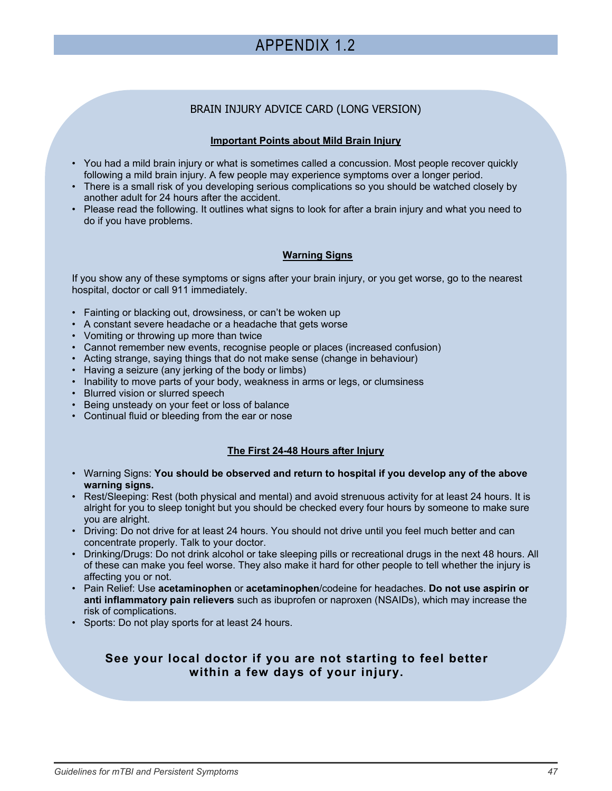# APPENDIX 1.2

# BRAIN INJURY ADVICE CARD (LONG VERSION)

# **Important Points about Mild Brain Injury**

- You had a mild brain injury or what is sometimes called a concussion. Most people recover quickly following a mild brain injury. A few people may experience symptoms over a longer period.
- There is a small risk of you developing serious complications so you should be watched closely by another adult for 24 hours after the accident.
- Please read the following. It outlines what signs to look for after a brain injury and what you need to do if you have problems.

# **Warning Signs**

If you show any of these symptoms or signs after your brain injury, or you get worse, go to the nearest hospital, doctor or call 911 immediately.

- Fainting or blacking out, drowsiness, or can't be woken up
- A constant severe headache or a headache that gets worse
- Vomiting or throwing up more than twice
- Cannot remember new events, recognise people or places (increased confusion)
- Acting strange, saying things that do not make sense (change in behaviour)
- Having a seizure (any jerking of the body or limbs)
- Inability to move parts of your body, weakness in arms or legs, or clumsiness
- Blurred vision or slurred speech
- Being unsteady on your feet or loss of balance
- Continual fluid or bleeding from the ear or nose

# **The First 24-48 Hours after Injury**

- Warning Signs: **You should be observed and return to hospital if you develop any of the above warning signs.**
- Rest/Sleeping: Rest (both physical and mental) and avoid strenuous activity for at least 24 hours. It is alright for you to sleep tonight but you should be checked every four hours by someone to make sure you are alright.
- Driving: Do not drive for at least 24 hours. You should not drive until you feel much better and can concentrate properly. Talk to your doctor.
- Drinking/Drugs: Do not drink alcohol or take sleeping pills or recreational drugs in the next 48 hours. All of these can make you feel worse. They also make it hard for other people to tell whether the injury is affecting you or not.
- Pain Relief: Use **acetaminophen** or **acetaminophen**/codeine for headaches. **Do not use aspirin or anti inflammatory pain relievers** such as ibuprofen or naproxen (NSAIDs), which may increase the risk of complications.
- Sports: Do not play sports for at least 24 hours.

# **See your local doctor if you are not starting to feel better within a few days of your injury.**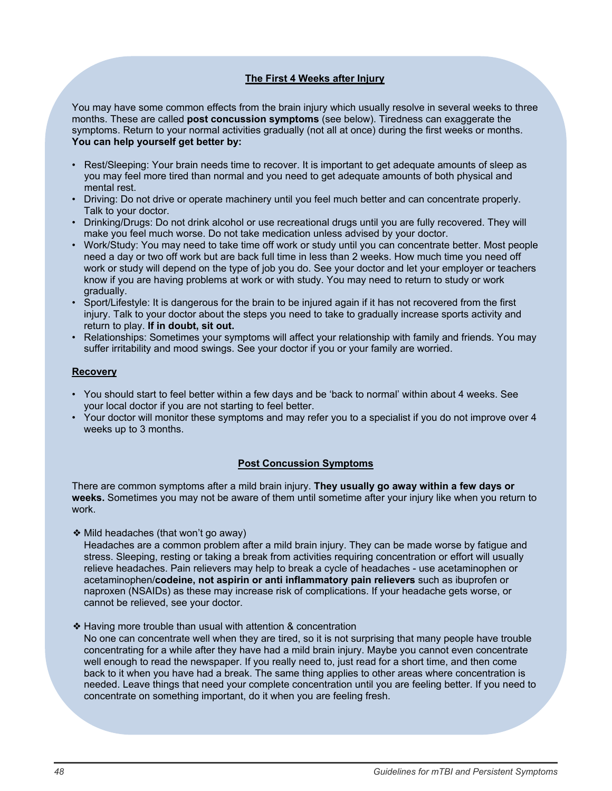# **The First 4 Weeks after Injury**

You may have some common effects from the brain injury which usually resolve in several weeks to three months. These are called **post concussion symptoms** (see below). Tiredness can exaggerate the symptoms. Return to your normal activities gradually (not all at once) during the first weeks or months. **You can help yourself get better by:** 

- Rest/Sleeping: Your brain needs time to recover. It is important to get adequate amounts of sleep as you may feel more tired than normal and you need to get adequate amounts of both physical and mental rest.
- Driving: Do not drive or operate machinery until you feel much better and can concentrate properly. Talk to your doctor.
- Drinking/Drugs: Do not drink alcohol or use recreational drugs until you are fully recovered. They will make you feel much worse. Do not take medication unless advised by your doctor.
- Work/Study: You may need to take time off work or study until you can concentrate better. Most people need a day or two off work but are back full time in less than 2 weeks. How much time you need off work or study will depend on the type of job you do. See your doctor and let your employer or teachers know if you are having problems at work or with study. You may need to return to study or work gradually.
- Sport/Lifestyle: It is dangerous for the brain to be injured again if it has not recovered from the first injury. Talk to your doctor about the steps you need to take to gradually increase sports activity and return to play. **If in doubt, sit out.**
- Relationships: Sometimes your symptoms will affect your relationship with family and friends. You may suffer irritability and mood swings. See your doctor if you or your family are worried.

## **Recovery**

- You should start to feel better within a few days and be 'back to normal' within about 4 weeks. See your local doctor if you are not starting to feel better.
- Your doctor will monitor these symptoms and may refer you to a specialist if you do not improve over 4 weeks up to 3 months.

### **Post Concussion Symptoms**

There are common symptoms after a mild brain injury. **They usually go away within a few days or weeks.** Sometimes you may not be aware of them until sometime after your injury like when you return to work.

❖ Mild headaches (that won't go away)

 Headaches are a common problem after a mild brain injury. They can be made worse by fatigue and stress. Sleeping, resting or taking a break from activities requiring concentration or effort will usually relieve headaches. Pain relievers may help to break a cycle of headaches - use acetaminophen or acetaminophen/**codeine, not aspirin or anti inflammatory pain relievers** such as ibuprofen or naproxen (NSAIDs) as these may increase risk of complications. If your headache gets worse, or cannot be relieved, see your doctor.

❖ Having more trouble than usual with attention & concentration

 No one can concentrate well when they are tired, so it is not surprising that many people have trouble concentrating for a while after they have had a mild brain injury. Maybe you cannot even concentrate well enough to read the newspaper. If you really need to, just read for a short time, and then come back to it when you have had a break. The same thing applies to other areas where concentration is needed. Leave things that need your complete concentration until you are feeling better. If you need to concentrate on something important, do it when you are feeling fresh.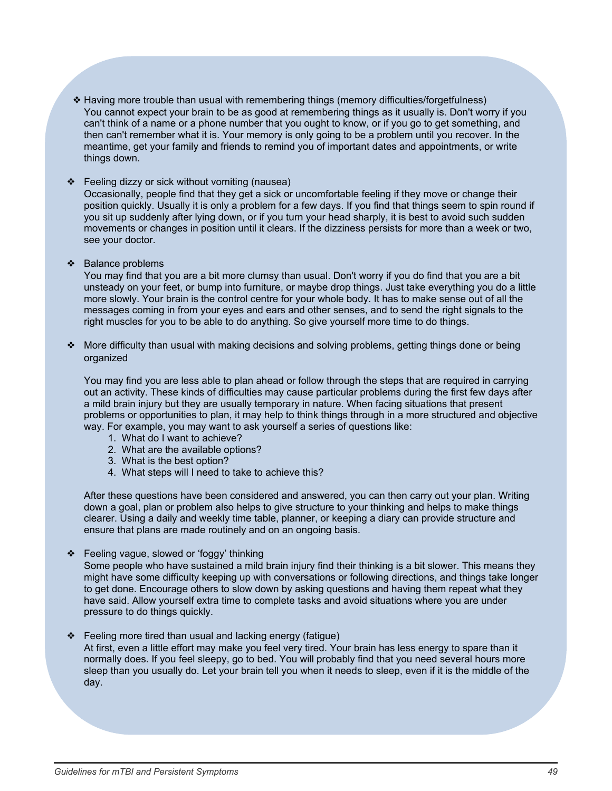- ❖ Having more trouble than usual with remembering things (memory difficulties/forgetfulness) You cannot expect your brain to be as good at remembering things as it usually is. Don't worry if you can't think of a name or a phone number that you ought to know, or if you go to get something, and then can't remember what it is. Your memory is only going to be a problem until you recover. In the meantime, get your family and friends to remind you of important dates and appointments, or write things down.
- ❖ Feeling dizzy or sick without vomiting (nausea)

Occasionally, people find that they get a sick or uncomfortable feeling if they move or change their position quickly. Usually it is only a problem for a few days. If you find that things seem to spin round if you sit up suddenly after lying down, or if you turn your head sharply, it is best to avoid such sudden movements or changes in position until it clears. If the dizziness persists for more than a week or two, see your doctor.

❖ Balance problems

You may find that you are a bit more clumsy than usual. Don't worry if you do find that you are a bit unsteady on your feet, or bump into furniture, or maybe drop things. Just take everything you do a little more slowly. Your brain is the control centre for your whole body. It has to make sense out of all the messages coming in from your eyes and ears and other senses, and to send the right signals to the right muscles for you to be able to do anything. So give yourself more time to do things.

❖ More difficulty than usual with making decisions and solving problems, getting things done or being organized

You may find you are less able to plan ahead or follow through the steps that are required in carrying out an activity. These kinds of difficulties may cause particular problems during the first few days after a mild brain injury but they are usually temporary in nature. When facing situations that present problems or opportunities to plan, it may help to think things through in a more structured and objective way. For example, you may want to ask yourself a series of questions like:

- 1. What do I want to achieve?
- 2. What are the available options?
- 3. What is the best option?
- 4. What steps will I need to take to achieve this?

After these questions have been considered and answered, you can then carry out your plan. Writing down a goal, plan or problem also helps to give structure to your thinking and helps to make things clearer. Using a daily and weekly time table, planner, or keeping a diary can provide structure and ensure that plans are made routinely and on an ongoing basis.

❖ Feeling vague, slowed or 'foggy' thinking

Some people who have sustained a mild brain injury find their thinking is a bit slower. This means they might have some difficulty keeping up with conversations or following directions, and things take longer to get done. Encourage others to slow down by asking questions and having them repeat what they have said. Allow yourself extra time to complete tasks and avoid situations where you are under pressure to do things quickly.

❖ Feeling more tired than usual and lacking energy (fatigue) At first, even a little effort may make you feel very tired. Your brain has less energy to spare than it normally does. If you feel sleepy, go to bed. You will probably find that you need several hours more sleep than you usually do. Let your brain tell you when it needs to sleep, even if it is the middle of the day.